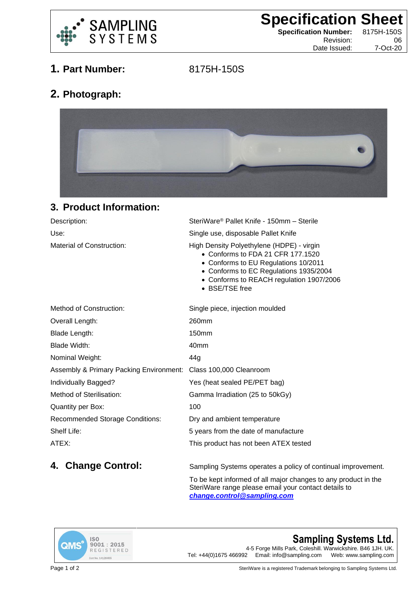

**Specification Sheet**<br> **Specification Number:** 8175H-150S

**Specification Number:** 

Revision: 06 Date Issued: 7-Oct-20

**1. Part Number:** 8175H-150S

## **2. Photograph:**



## **3. Product Information:**

| Description:                     | SteriWare <sup>®</sup> Pallet Knife - 150mm - Sterile                                                                                                                                                                          |
|----------------------------------|--------------------------------------------------------------------------------------------------------------------------------------------------------------------------------------------------------------------------------|
| Use:                             | Single use, disposable Pallet Knife                                                                                                                                                                                            |
| <b>Material of Construction:</b> | High Density Polyethylene (HDPE) - virgin<br>• Conforms to FDA 21 CFR 177.1520<br>• Conforms to EU Regulations 10/2011<br>• Conforms to EC Regulations 1935/2004<br>• Conforms to REACH regulation 1907/2006<br>• BSE/TSE free |
| Mothod of Construction:          | Single piece, injection moulded                                                                                                                                                                                                |

| <b>Method of Construction:</b>                                  | Single piece, injection moulded       |
|-----------------------------------------------------------------|---------------------------------------|
| Overall Length:                                                 | 260mm                                 |
| Blade Length:                                                   | 150mm                                 |
| Blade Width:                                                    | 40mm                                  |
| Nominal Weight:                                                 | 44a                                   |
| Assembly & Primary Packing Environment: Class 100,000 Cleanroom |                                       |
| Individually Bagged?                                            | Yes (heat sealed PE/PET bag)          |
| Method of Sterilisation:                                        | Gamma Irradiation (25 to 50kGy)       |
| <b>Quantity per Box:</b>                                        | 100                                   |
| <b>Recommended Storage Conditions:</b>                          | Dry and ambient temperature           |
| Shelf Life:                                                     | 5 years from the date of manufacture  |
| ATEX:                                                           | This product has not been ATEX tested |
|                                                                 |                                       |

**4. Change Control:** Sampling Systems operates a policy of continual improvement.

To be kept informed of all major changes to any product in the SteriWare range please email your contact details to *[change.control@sampling.com](mailto:change.control@sampling.com)*



**Sampling Systems Ltd.** 4-5 Forge Mills Park, Coleshill. Warwickshire. B46 1JH. UK.<br>Tel: +44(0)1675 466992 Email: info@sampling.com Web: www.sampling.com Email: info@sampling.com